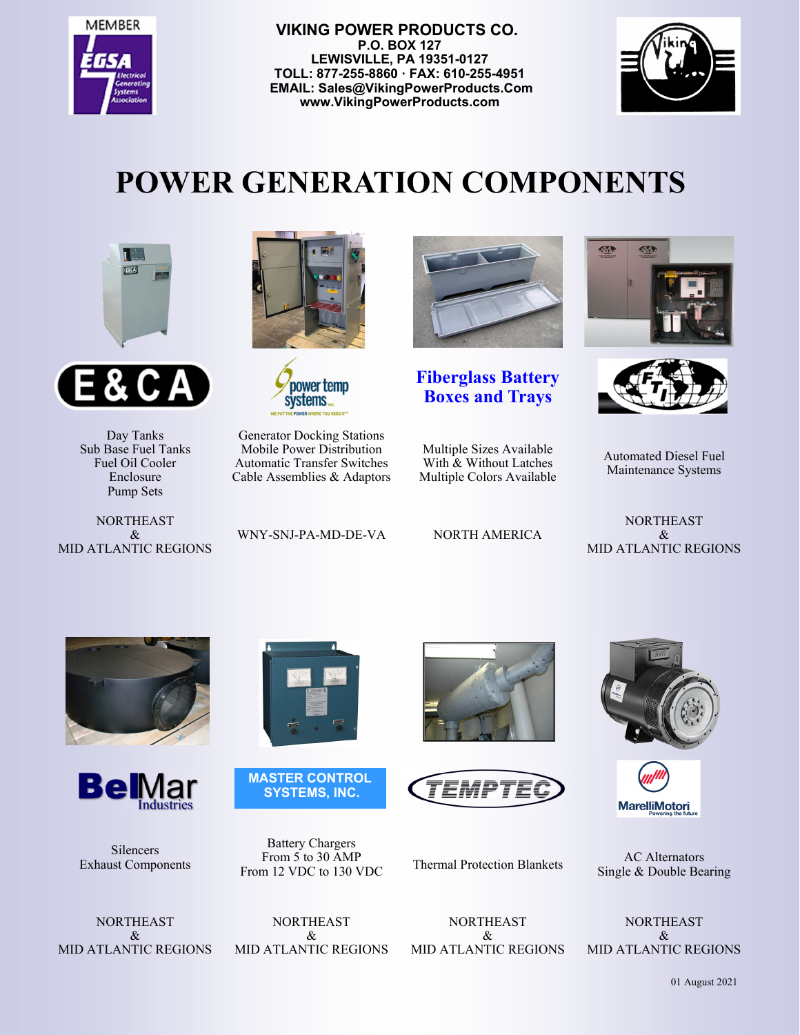

 **VIKING POWER PRODUCTS CO. P.O. BOX 127 LEWISVILLE, PA 19351-0127 TOLL: 877-255-8860 · FAX: 610-255-4951 EMAIL: Sales@VikingPowerProducts.Com www.VikingPowerProducts.com** 



## **POWER GENERATION COMPONENTS**





Day Tanks Sub Base Fuel Tanks Fuel Oil Cooler Enclosure Pump Sets

NORTHEAST  $\mathcal{R}_{\mathcal{L}}$ MID ATLANTIC REGIONS





Generator Docking Stations Mobile Power Distribution Automatic Transfer Switches Cable Assemblies & Adaptors

WNY-SNJ-PA-MD-DE-VA NORTH AMERICA



**Fiberglass Battery Boxes and Trays**

Multiple Sizes Available With & Without Latches Multiple Colors Available

S 453



Automated Diesel Fuel Maintenance Systems

NORTHEAST & MID ATLANTIC REGIONS





Silencers Exhaust Components



**MASTER CONTROL SYSTEMS, INC.** 

Battery Chargers From 5 to 30 AMP











Single & Double Bearing

**NORTHEAST**  $\mathcal{R}_{\mathcal{L}}$ MID ATLANTIC REGIONS

NORTHEAST  $\mathcal{R}_{\mathcal{I}}$ MID ATLANTIC REGIONS

NORTHEAST & MID ATLANTIC REGIONS

NORTHEAST & MID ATLANTIC REGIONS